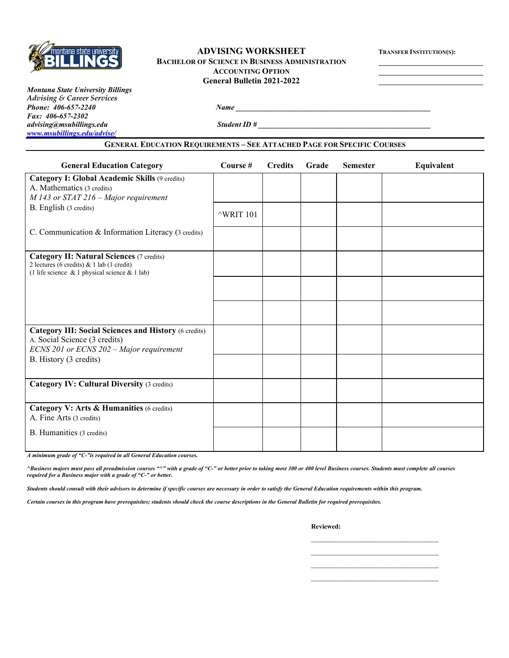

### **ADVISING WORKSHEET TRANSFER INSTITUTION(S): BACHELOR OF SCIENCE IN BUSINESS ADMINISTRATION ACCOUNTING OPTION General Bulletin 2021-2022**

*Montana State University Billings Advising & Career Services Phone: 406-657-2240 Name \_\_\_\_\_\_\_\_\_\_\_\_\_\_\_\_\_\_\_\_\_\_\_\_\_\_\_\_\_\_\_\_\_\_\_\_\_\_\_\_\_\_\_\_\_\_\_\_\_\_\_\_ Fax: 406-657-2302 advising@msubillings.edu Student ID # \_\_\_\_\_\_\_\_\_\_\_\_\_\_\_\_\_\_\_\_\_\_\_\_\_\_\_\_\_\_\_\_\_\_\_\_\_\_\_\_\_\_\_\_\_\_ [www.msubillings.edu/advise/](http://www.msubillings.edu/advise/)*

#### **GENERAL EDUCATION REQUIREMENTS – SEE ATTACHED PAGE FOR SPECIFIC COURSES**

| <b>General Education Category</b>                                                                                                                    | Course #          | <b>Credits</b> | Grade | <b>Semester</b> | Equivalent |
|------------------------------------------------------------------------------------------------------------------------------------------------------|-------------------|----------------|-------|-----------------|------------|
| Category I: Global Academic Skills (9 credits)<br>A. Mathematics (3 credits)<br>$M$ 143 or STAT 216 – Major requirement                              |                   |                |       |                 |            |
| B. English (3 credits)                                                                                                                               | $\wedge$ WRIT 101 |                |       |                 |            |
| C. Communication & Information Literacy (3 credits)                                                                                                  |                   |                |       |                 |            |
| <b>Category II: Natural Sciences</b> (7 credits)<br>2 lectures (6 credits) & 1 lab (1 credit)<br>(1 life science $\&$ 1 physical science $\&$ 1 lab) |                   |                |       |                 |            |
|                                                                                                                                                      |                   |                |       |                 |            |
|                                                                                                                                                      |                   |                |       |                 |            |
| <b>Category III: Social Sciences and History (6 credits)</b><br>A. Social Science (3 credits)<br>ECNS 201 or ECNS 202 - Major requirement            |                   |                |       |                 |            |
| B. History (3 credits)                                                                                                                               |                   |                |       |                 |            |
| <b>Category IV: Cultural Diversity (3 credits)</b>                                                                                                   |                   |                |       |                 |            |
| Category V: Arts & Humanities (6 credits)<br>A. Fine Arts (3 credits)                                                                                |                   |                |       |                 |            |
| B. Humanities (3 credits)                                                                                                                            |                   |                |       |                 |            |

*A minimum grade of "C-"is required in all General Education courses.* 

*^Business majors must pass all preadmission courses "^" with a grade of "C-" or better prior to taking most 300 or 400 level Business courses. Students must complete all courses required for a Business major with a grade of "C-" or better.*

*Students should consult with their advisors to determine if specific courses are necessary in order to satisfy the General Education requirements within this program.*

*Certain courses in this program have prerequisites; students should check the course descriptions in the General Bulletin for required prerequisites.*

**Reviewed:**

\_\_\_\_\_\_\_\_\_\_\_\_\_\_\_\_\_\_\_\_\_\_\_\_\_\_\_\_\_\_\_\_\_\_ \_\_\_\_\_\_\_\_\_\_\_\_\_\_\_\_\_\_\_\_\_\_\_\_\_\_\_\_\_\_\_\_\_\_ \_\_\_\_\_\_\_\_\_\_\_\_\_\_\_\_\_\_\_\_\_\_\_\_\_\_\_\_\_\_\_\_\_\_ \_\_\_\_\_\_\_\_\_\_\_\_\_\_\_\_\_\_\_\_\_\_\_\_\_\_\_\_\_\_\_\_\_\_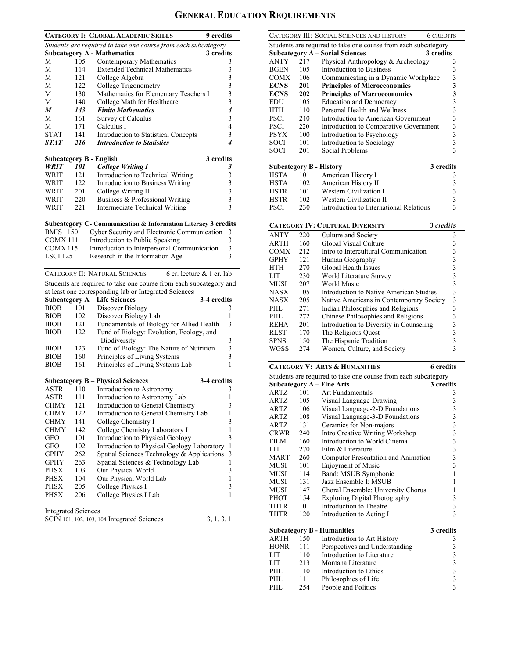# **GENERAL EDUCATION REQUIREMENTS**

|                            |     | <b>CATEGORY I: GLOBAL ACADEMIC SKILLS</b><br>9 credits                   |                                            |
|----------------------------|-----|--------------------------------------------------------------------------|--------------------------------------------|
|                            |     | Students are required to take one course from each subcategory           |                                            |
|                            |     | <b>Subcategory A - Mathematics</b><br>3 credits                          |                                            |
| М                          | 105 | Contemporary Mathematics                                                 | 3                                          |
| М                          | 114 | <b>Extended Technical Mathematics</b>                                    | 3                                          |
| М                          | 121 | College Algebra                                                          | $\begin{array}{c} 3 \\ 3 \\ 3 \end{array}$ |
| М                          | 122 | College Trigonometry                                                     |                                            |
| М                          | 130 | Mathematics for Elementary Teachers I                                    |                                            |
| М                          | 140 | College Math for Healthcare                                              |                                            |
| M                          | 143 | <b>Finite Mathematics</b>                                                | 4                                          |
| М                          | 161 | Survey of Calculus                                                       | 3                                          |
| M                          | 171 | Calculus I                                                               | $\overline{4}$                             |
| <b>STAT</b>                | 141 | Introduction to Statistical Concepts                                     | 3                                          |
| STAT                       | 216 | <b>Introduction to Statistics</b>                                        | 4                                          |
|                            |     |                                                                          |                                            |
|                            |     | 3 credits<br><b>Subcategory B - English</b>                              |                                            |
| WRIT                       | 101 | <b>College Writing I</b>                                                 | 3                                          |
| WRIT                       | 121 | Introduction to Technical Writing                                        | 3                                          |
| WRIT                       | 122 | Introduction to Business Writing                                         |                                            |
| WRIT                       | 201 | College Writing II                                                       |                                            |
| WRIT                       | 220 | Business & Professional Writing                                          | $\begin{array}{c} 3 \\ 3 \\ 3 \end{array}$ |
| WRIT                       | 221 | Intermediate Technical Writing                                           |                                            |
|                            |     | <b>Subcategory C- Communication &amp; Information Literacy 3 credits</b> |                                            |
| <b>BMIS</b> 150            |     | Cyber Security and Electronic Communication                              | 3                                          |
| COMX 111                   |     | Introduction to Public Speaking                                          | 3                                          |
| COMX115                    |     | Introduction to Interpersonal Communication                              | $\overline{\mathbf{3}}$                    |
| <b>LSCI 125</b>            |     | Research in the Information Age                                          | 3                                          |
|                            |     |                                                                          |                                            |
|                            |     | CATEGORY II: NATURAL SCIENCES<br>6 cr. lecture $& 1$ cr. lab             |                                            |
|                            |     | Students are required to take one course from each subcategory and       |                                            |
|                            |     | at least one corresponding lab or Integrated Sciences                    |                                            |
|                            |     | <b>Subcategory A - Life Sciences</b><br>3-4 credits                      |                                            |
| <b>BIOB</b>                | 101 | Discover Biology                                                         | 3                                          |
| <b>BIOB</b>                | 102 | Discover Biology Lab                                                     | 1                                          |
| <b>BIOB</b>                | 121 | Fundamentals of Biology for Allied Health                                | 3                                          |
| <b>BIOB</b>                | 122 | Fund of Biology: Evolution, Ecology, and                                 |                                            |
|                            |     | Biodiversity                                                             | 3                                          |
| <b>BIOB</b>                | 123 | Fund of Biology: The Nature of Nutrition                                 |                                            |
| <b>BIOB</b>                | 160 |                                                                          | $\frac{3}{3}$                              |
| <b>BIOB</b>                | 161 | Principles of Living Systems<br>Principles of Living Systems Lab         | 1                                          |
|                            |     |                                                                          |                                            |
|                            |     | <b>Subcategory B - Physical Sciences</b><br>3-4 credits                  |                                            |
| ASTR                       | 110 | Introduction to Astronomy                                                | 3                                          |
| ASTR                       | 111 | Introduction to Astronomy Lab                                            | 1                                          |
| CHMY                       | 121 | Introduction to General Chemistry                                        | 3                                          |
| CHMY                       | 122 | Introduction to General Chemistry Lab                                    | 1                                          |
| CHMY                       | 141 | College Chemistry I                                                      | 3                                          |
| CHMY                       | 142 | College Chemistry Laboratory I                                           | $\mathbf{1}$                               |
| GEO                        | 101 | Introduction to Physical Geology                                         | 3                                          |
| GEO                        | 102 | Introduction to Physical Geology Laboratory                              | $\mathbf{1}$                               |
| GPHY                       | 262 | Spatial Sciences Technology & Applications                               | 3                                          |
| GPHY                       | 263 | Spatial Sciences & Technology Lab                                        | 1                                          |
| PHSX                       | 103 | Our Physical World                                                       | 3                                          |
|                            |     |                                                                          |                                            |
| PHSX                       | 104 | Our Physical World Lab                                                   | 1                                          |
| PHSX                       | 205 | College Physics I                                                        | 3                                          |
| PHSX                       | 206 | College Physics I Lab                                                    | 1                                          |
|                            |     |                                                                          |                                            |
| <b>Integrated Sciences</b> |     |                                                                          |                                            |
|                            |     | SCIN 101, 102, 103, 104 Integrated Sciences<br>3, 1, 3, 1                |                                            |
|                            |     |                                                                          |                                            |
|                            |     |                                                                          |                                            |

|                                |            | CATEGORY III: SOCIAL SCIENCES AND HISTORY<br><b>6 CREDITS</b>  |                                            |
|--------------------------------|------------|----------------------------------------------------------------|--------------------------------------------|
|                                |            | Students are required to take one course from each subcategory |                                            |
|                                |            | <b>Subcategory A - Social Sciences</b><br>3 credits            |                                            |
| <b>ANTY</b>                    | 217        | Physical Anthropology & Archeology                             | 3                                          |
| BGEN                           | 105        | <b>Introduction to Business</b>                                | 3                                          |
| COMX                           | 106        | Communicating in a Dynamic Workplace                           | 3                                          |
| <b>ECNS</b>                    | 201        | <b>Principles of Microeconomics</b>                            | 3                                          |
| <b>ECNS</b>                    | 202        | <b>Principles of Macroeconomics</b>                            | 3                                          |
| EDU                            | 105        | <b>Education and Democracy</b>                                 | 3                                          |
| HTH                            | 110        | Personal Health and Wellness                                   | 3                                          |
| PSCI                           | 210        | Introduction to American Government                            | $\overline{\mathbf{3}}$                    |
| <b>PSCI</b>                    | 220        | Introduction to Comparative Government                         | 3                                          |
| <b>PSYX</b>                    | 100        | Introduction to Psychology                                     | $\overline{\mathbf{3}}$                    |
| SOCI                           | 101        | Introduction to Sociology                                      | 3                                          |
| <b>SOCI</b>                    | 201        | Social Problems                                                | 3                                          |
|                                |            |                                                                |                                            |
| <b>Subcategory B - History</b> |            | 3 credits                                                      |                                            |
| <b>HSTA</b>                    | 101        | American History I                                             | 3                                          |
| HSTA                           | 102        | American History II                                            | 3                                          |
| HSTR                           | 101        | Western Civilization I                                         | 3                                          |
| <b>HSTR</b>                    | 102        | Western Civilization II                                        | 3                                          |
| PSCI                           | 230        | Introduction to International Relations                        | 3                                          |
|                                |            | 3 credits<br><b>CATEGORY IV: CULTURAL DIVERSITY</b>            |                                            |
| <b>ANTY</b>                    | 220        | Culture and Society                                            | 3                                          |
| ARTH                           | 160        | Global Visual Culture                                          | 3                                          |
| COMX                           | 212        | Intro to Intercultural Communication                           | $\overline{\mathbf{3}}$                    |
| GPHY                           | 121        | Human Geography                                                | 3                                          |
| HTH                            | 270        | Global Health Issues                                           | $\overline{\mathbf{3}}$                    |
| LIT                            | 230        | World Literature Survey                                        | $\overline{\mathbf{3}}$                    |
| MUSI                           | 207        | World Music                                                    | $\overline{3}$                             |
| <b>NASX</b>                    | 105        | Introduction to Native American Studies                        | $\overline{\mathbf{3}}$                    |
| <b>NASX</b>                    | 205        | Native Americans in Contemporary Society                       | $\overline{3}$                             |
| PHL                            | 271        | Indian Philosophies and Religions                              | $\overline{3}$                             |
|                                |            |                                                                |                                            |
|                                |            |                                                                |                                            |
| PHL.                           | 272        | Chinese Philosophies and Religions                             | 3                                          |
| <b>REHA</b>                    | 201        | Introduction to Diversity in Counseling                        |                                            |
| RLST                           | 170        | The Religious Quest                                            | $\frac{3}{3}$                              |
| SPNS<br>WGSS                   | 150<br>274 | The Hispanic Tradition<br>Women, Culture, and Society          | 3<br>$\overline{3}$                        |
|                                |            |                                                                |                                            |
|                                |            | <b>CATEGORY V: ARTS &amp; HUMANITIES</b><br><b>6</b> credits   |                                            |
|                                |            | Students are required to take one course from each subcategory |                                            |
|                                |            | <b>Subcategory A - Fine Arts</b><br>3 credits                  |                                            |
| <b>ARTZ</b>                    | 101        | <b>Art Fundamentals</b>                                        | 3                                          |
| ARTZ                           | 105        | Visual Language-Drawing                                        | 3                                          |
| <b>ARTZ</b>                    | 106        | Visual Language-2-D Foundations                                | 3                                          |
| ARTZ                           | 108        | Visual Language-3-D Foundations                                | 3                                          |
| ARTZ                           | 131        | Ceramics for Non-majors                                        |                                            |
| CRWR                           | 240        | Intro Creative Writing Workshop                                |                                            |
| FILM                           | 160        | Introduction to World Cinema                                   |                                            |
| LIT                            | 270        | Film & Literature                                              | $\begin{array}{c} 3 \\ 3 \\ 3 \end{array}$ |
| MART                           | 260        | Computer Presentation and Animation                            | $\overline{\mathbf{3}}$                    |
| MUSI                           | 101        | <b>Enjoyment of Music</b>                                      | 3                                          |
| MUSI                           | 114        | Band: MSUB Symphonic                                           | 1                                          |
| MUSI                           | 131        | Jazz Ensemble I: MSUB                                          | 1                                          |
| MUSI                           | 147        | Choral Ensemble: University Chorus                             | 1                                          |
| PHOT                           | 154        | Exploring Digital Photography                                  | 3                                          |
| THTR<br>THTR                   | 101<br>120 | Introduction to Theatre                                        | 3<br>3                                     |
|                                |            | Introduction to Acting I                                       |                                            |
|                                |            | 3 credits<br><b>Subcategory B - Humanities</b>                 |                                            |
| ARTH                           | 150        | Introduction to Art History                                    | 3                                          |
| HONR                           | 111        | Perspectives and Understanding                                 | 3                                          |
| LIT                            | 110        | Introduction to Literature                                     |                                            |
| LIT                            | 213        | Montana Literature                                             |                                            |
| PHL                            | 110        | Introduction to Ethics                                         | $\begin{array}{c} 3 \\ 3 \\ 3 \end{array}$ |
| PHL<br>PHL                     | 111<br>254 | Philosophies of Life<br>People and Politics                    | $\overline{\mathbf{3}}$<br>3               |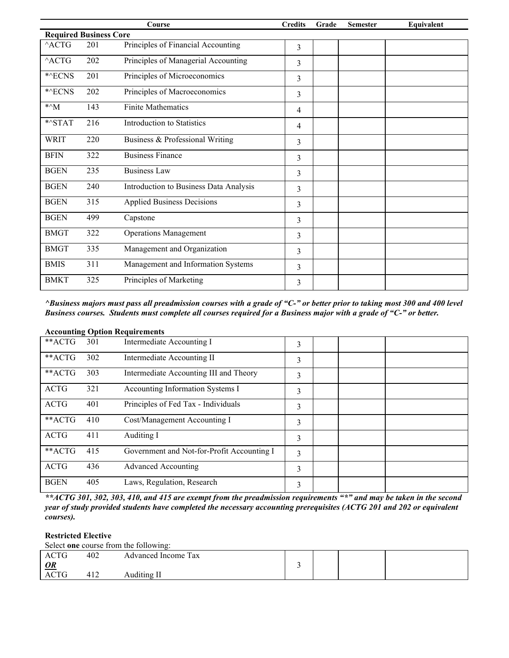|                               |     | Course                                 | <b>Credits</b> | Grade | <b>Semester</b> | Equivalent |
|-------------------------------|-----|----------------------------------------|----------------|-------|-----------------|------------|
| <b>Required Business Core</b> |     |                                        |                |       |                 |            |
| $^{\wedge}{\rm ACTG}$         | 201 | Principles of Financial Accounting     | 3              |       |                 |            |
| $^{\wedge}$ ACTG              | 202 | Principles of Managerial Accounting    | 3              |       |                 |            |
| *^ECNS                        | 201 | Principles of Microeconomics           | 3              |       |                 |            |
| *^ECNS                        | 202 | Principles of Macroeconomics           | 3              |       |                 |            |
| $*^{\wedge}M$                 | 143 | <b>Finite Mathematics</b>              | 4              |       |                 |            |
| $*$ $STAT$                    | 216 | Introduction to Statistics             | 4              |       |                 |            |
| <b>WRIT</b>                   | 220 | Business & Professional Writing        | 3              |       |                 |            |
| <b>BFIN</b>                   | 322 | <b>Business Finance</b>                | 3              |       |                 |            |
| <b>BGEN</b>                   | 235 | <b>Business Law</b>                    | 3              |       |                 |            |
| <b>BGEN</b>                   | 240 | Introduction to Business Data Analysis | 3              |       |                 |            |
| <b>BGEN</b>                   | 315 | <b>Applied Business Decisions</b>      | 3              |       |                 |            |
| <b>BGEN</b>                   | 499 | Capstone                               | 3              |       |                 |            |
| <b>BMGT</b>                   | 322 | <b>Operations Management</b>           | 3              |       |                 |            |
| <b>BMGT</b>                   | 335 | Management and Organization            | 3              |       |                 |            |
| <b>BMIS</b>                   | 311 | Management and Information Systems     | 3              |       |                 |            |
| <b>BMKT</b>                   | 325 | Principles of Marketing                | 3              |       |                 |            |

*^Business majors must pass all preadmission courses with a grade of "C-" or better prior to taking most 300 and 400 level Business courses. Students must complete all courses required for a Business major with a grade of "C-" or better.*

|             |     | $\alpha$ . The counting $\alpha$ puon requirements |   |  |  |
|-------------|-----|----------------------------------------------------|---|--|--|
| **ACTG      | 301 | Intermediate Accounting I                          | 3 |  |  |
| **ACTG      | 302 | Intermediate Accounting II                         | 3 |  |  |
| **ACTG      | 303 | Intermediate Accounting III and Theory             | 3 |  |  |
| <b>ACTG</b> | 321 | Accounting Information Systems I                   | 3 |  |  |
| <b>ACTG</b> | 401 | Principles of Fed Tax - Individuals                | 3 |  |  |
| **ACTG      | 410 | Cost/Management Accounting I                       | 3 |  |  |
| <b>ACTG</b> | 411 | Auditing I                                         | 3 |  |  |
| **ACTG      | 415 | Government and Not-for-Profit Accounting I         | 3 |  |  |
| <b>ACTG</b> | 436 | <b>Advanced Accounting</b>                         | 3 |  |  |
| <b>BGEN</b> | 405 | Laws, Regulation, Research                         | 3 |  |  |

# **Accounting Option Requirements**

*\*\*ACTG 301, 302, 303, 410, and 415 are exempt from the preadmission requirements "\*" and may be taken in the second year of study provided students have completed the necessary accounting prerequisites (ACTG 201 and 202 or equivalent courses).* 

#### **Restricted Elective**

Select **one** course from the following:

| ACTG         | 402 | Advanced Income Tax |  |  |
|--------------|-----|---------------------|--|--|
| $\mathbf{Q}$ |     |                     |  |  |
| <b>ACTG</b>  | 412 | Auditing II         |  |  |